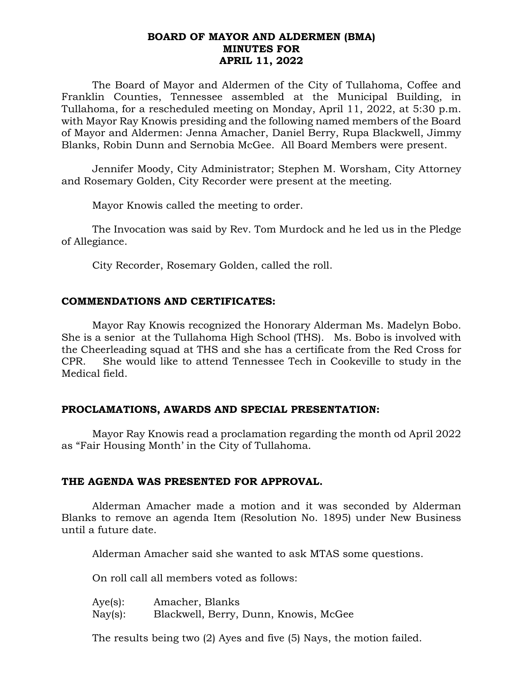## **BOARD OF MAYOR AND ALDERMEN (BMA) MINUTES FOR APRIL 11, 2022**

The Board of Mayor and Aldermen of the City of Tullahoma, Coffee and Franklin Counties, Tennessee assembled at the Municipal Building, in Tullahoma, for a rescheduled meeting on Monday, April 11, 2022, at 5:30 p.m. with Mayor Ray Knowis presiding and the following named members of the Board of Mayor and Aldermen: Jenna Amacher, Daniel Berry, Rupa Blackwell, Jimmy Blanks, Robin Dunn and Sernobia McGee. All Board Members were present.

Jennifer Moody, City Administrator; Stephen M. Worsham, City Attorney and Rosemary Golden, City Recorder were present at the meeting.

Mayor Knowis called the meeting to order.

The Invocation was said by Rev. Tom Murdock and he led us in the Pledge of Allegiance.

City Recorder, Rosemary Golden, called the roll.

## **COMMENDATIONS AND CERTIFICATES:**

Mayor Ray Knowis recognized the Honorary Alderman Ms. Madelyn Bobo. She is a senior at the Tullahoma High School (THS). Ms. Bobo is involved with the Cheerleading squad at THS and she has a certificate from the Red Cross for CPR. She would like to attend Tennessee Tech in Cookeville to study in the Medical field.

# **PROCLAMATIONS, AWARDS AND SPECIAL PRESENTATION:**

Mayor Ray Knowis read a proclamation regarding the month od April 2022 as "Fair Housing Month' in the City of Tullahoma.

### **THE AGENDA WAS PRESENTED FOR APPROVAL.**

Alderman Amacher made a motion and it was seconded by Alderman Blanks to remove an agenda Item (Resolution No. 1895) under New Business until a future date.

Alderman Amacher said she wanted to ask MTAS some questions.

On roll call all members voted as follows:

| Aye(s):           | Amacher, Blanks                       |
|-------------------|---------------------------------------|
| $\text{Nay}(s)$ : | Blackwell, Berry, Dunn, Knowis, McGee |

The results being two (2) Ayes and five (5) Nays, the motion failed.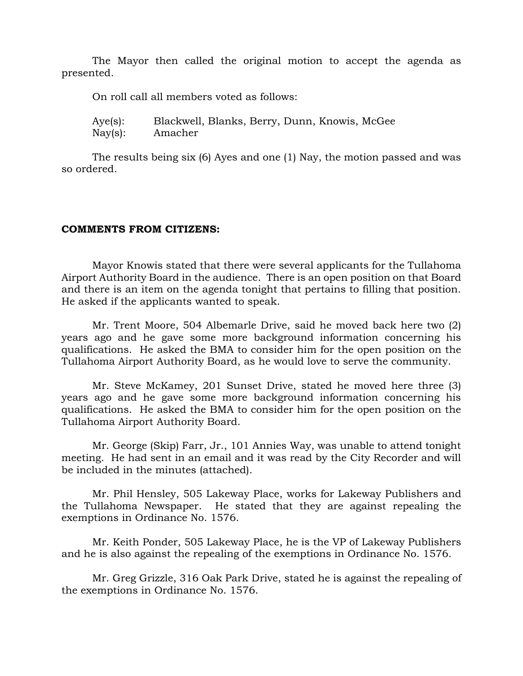The Mayor then called the original motion to accept the agenda as presented.

On roll call all members voted as follows:

Aye(s): Blackwell, Blanks, Berry, Dunn, Knowis, McGee Nay(s): Amacher

The results being six (6) Ayes and one (1) Nay, the motion passed and was so ordered.

### **COMMENTS FROM CITIZENS:**

Mayor Knowis stated that there were several applicants for the Tullahoma Airport Authority Board in the audience. There is an open position on that Board and there is an item on the agenda tonight that pertains to filling that position. He asked if the applicants wanted to speak.

Mr. Trent Moore, 504 Albemarle Drive, said he moved back here two (2) years ago and he gave some more background information concerning his qualifications. He asked the BMA to consider him for the open position on the Tullahoma Airport Authority Board, as he would love to serve the community.

Mr. Steve McKamey, 201 Sunset Drive, stated he moved here three (3) years ago and he gave some more background information concerning his qualifications. He asked the BMA to consider him for the open position on the Tullahoma Airport Authority Board.

Mr. George (Skip) Farr, Jr., 101 Annies Way, was unable to attend tonight meeting. He had sent in an email and it was read by the City Recorder and will be included in the minutes (attached).

Mr. Phil Hensley, 505 Lakeway Place, works for Lakeway Publishers and the Tullahoma Newspaper. He stated that they are against repealing the exemptions in Ordinance No. 1576.

Mr. Keith Ponder, 505 Lakeway Place, he is the VP of Lakeway Publishers and he is also against the repealing of the exemptions in Ordinance No. 1576.

Mr. Greg Grizzle, 316 Oak Park Drive, stated he is against the repealing of the exemptions in Ordinance No. 1576.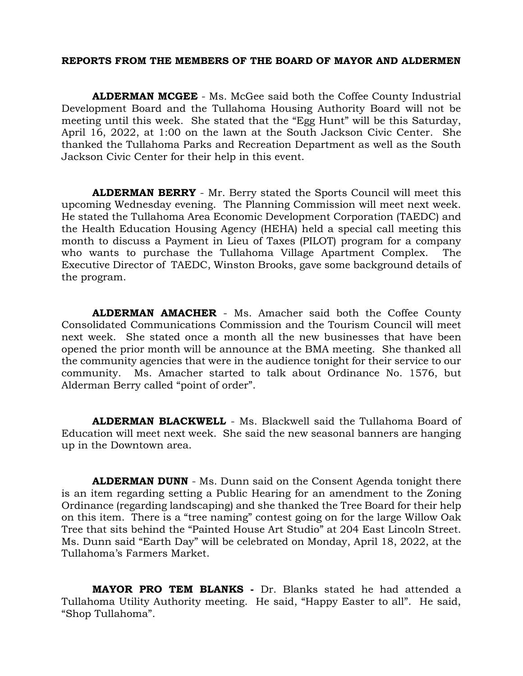### **REPORTS FROM THE MEMBERS OF THE BOARD OF MAYOR AND ALDERMEN**

**ALDERMAN MCGEE** - Ms. McGee said both the Coffee County Industrial Development Board and the Tullahoma Housing Authority Board will not be meeting until this week. She stated that the "Egg Hunt" will be this Saturday, April 16, 2022, at 1:00 on the lawn at the South Jackson Civic Center. She thanked the Tullahoma Parks and Recreation Department as well as the South Jackson Civic Center for their help in this event.

**ALDERMAN BERRY** - Mr. Berry stated the Sports Council will meet this upcoming Wednesday evening. The Planning Commission will meet next week. He stated the Tullahoma Area Economic Development Corporation (TAEDC) and the Health Education Housing Agency (HEHA) held a special call meeting this month to discuss a Payment in Lieu of Taxes (PILOT) program for a company who wants to purchase the Tullahoma Village Apartment Complex. The Executive Director of TAEDC, Winston Brooks, gave some background details of the program.

**ALDERMAN AMACHER** - Ms. Amacher said both the Coffee County Consolidated Communications Commission and the Tourism Council will meet next week. She stated once a month all the new businesses that have been opened the prior month will be announce at the BMA meeting. She thanked all the community agencies that were in the audience tonight for their service to our community. Ms. Amacher started to talk about Ordinance No. 1576, but Alderman Berry called "point of order".

**ALDERMAN BLACKWELL** - Ms. Blackwell said the Tullahoma Board of Education will meet next week. She said the new seasonal banners are hanging up in the Downtown area.

**ALDERMAN DUNN** - Ms. Dunn said on the Consent Agenda tonight there is an item regarding setting a Public Hearing for an amendment to the Zoning Ordinance (regarding landscaping) and she thanked the Tree Board for their help on this item. There is a "tree naming" contest going on for the large Willow Oak Tree that sits behind the "Painted House Art Studio" at 204 East Lincoln Street. Ms. Dunn said "Earth Day" will be celebrated on Monday, April 18, 2022, at the Tullahoma's Farmers Market.

**MAYOR PRO TEM BLANKS -** Dr. Blanks stated he had attended a Tullahoma Utility Authority meeting. He said, "Happy Easter to all". He said, "Shop Tullahoma".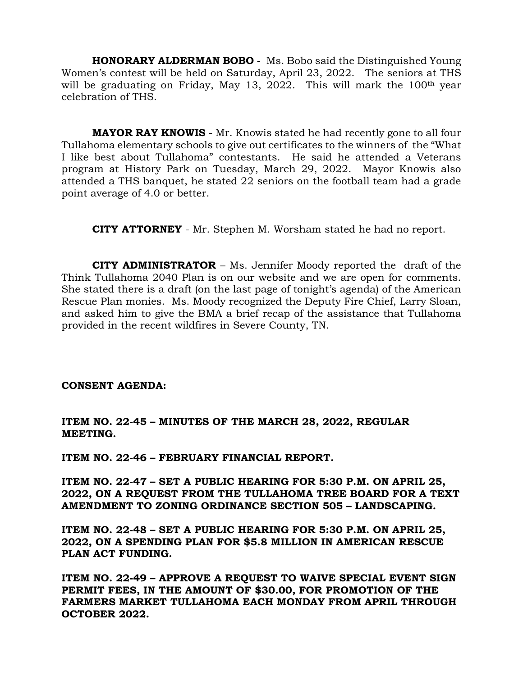**HONORARY ALDERMAN BOBO -** Ms. Bobo said the Distinguished Young Women's contest will be held on Saturday, April 23, 2022. The seniors at THS will be graduating on Friday, May 13, 2022. This will mark the 100<sup>th</sup> year celebration of THS.

**MAYOR RAY KNOWIS** - Mr. Knowis stated he had recently gone to all four Tullahoma elementary schools to give out certificates to the winners of the "What I like best about Tullahoma" contestants. He said he attended a Veterans program at History Park on Tuesday, March 29, 2022. Mayor Knowis also attended a THS banquet, he stated 22 seniors on the football team had a grade point average of 4.0 or better.

 **CITY ATTORNEY** - Mr. Stephen M. Worsham stated he had no report.

**CITY ADMINISTRATOR** – Ms. Jennifer Moody reported the draft of the Think Tullahoma 2040 Plan is on our website and we are open for comments. She stated there is a draft (on the last page of tonight's agenda) of the American Rescue Plan monies. Ms. Moody recognized the Deputy Fire Chief, Larry Sloan, and asked him to give the BMA a brief recap of the assistance that Tullahoma provided in the recent wildfires in Severe County, TN.

### **CONSENT AGENDA:**

**ITEM NO. 22-45 – MINUTES OF THE MARCH 28, 2022, REGULAR MEETING.**

**ITEM NO. 22-46 – FEBRUARY FINANCIAL REPORT.**

**ITEM NO. 22-47 – SET A PUBLIC HEARING FOR 5:30 P.M. ON APRIL 25, 2022, ON A REQUEST FROM THE TULLAHOMA TREE BOARD FOR A TEXT AMENDMENT TO ZONING ORDINANCE SECTION 505 – LANDSCAPING.**

**ITEM NO. 22-48 – SET A PUBLIC HEARING FOR 5:30 P.M. ON APRIL 25, 2022, ON A SPENDING PLAN FOR \$5.8 MILLION IN AMERICAN RESCUE PLAN ACT FUNDING.**

**ITEM NO. 22-49 – APPROVE A REQUEST TO WAIVE SPECIAL EVENT SIGN PERMIT FEES, IN THE AMOUNT OF \$30.00, FOR PROMOTION OF THE FARMERS MARKET TULLAHOMA EACH MONDAY FROM APRIL THROUGH OCTOBER 2022.**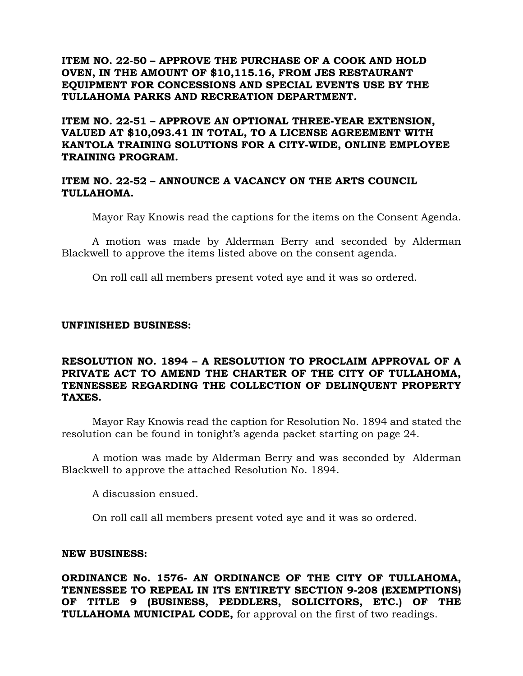**ITEM NO. 22-50 – APPROVE THE PURCHASE OF A COOK AND HOLD OVEN, IN THE AMOUNT OF \$10,115.16, FROM JES RESTAURANT EQUIPMENT FOR CONCESSIONS AND SPECIAL EVENTS USE BY THE TULLAHOMA PARKS AND RECREATION DEPARTMENT.**

**ITEM NO. 22-51 – APPROVE AN OPTIONAL THREE-YEAR EXTENSION, VALUED AT \$10,093.41 IN TOTAL, TO A LICENSE AGREEMENT WITH KANTOLA TRAINING SOLUTIONS FOR A CITY-WIDE, ONLINE EMPLOYEE TRAINING PROGRAM.**

## **ITEM NO. 22-52 – ANNOUNCE A VACANCY ON THE ARTS COUNCIL TULLAHOMA.**

Mayor Ray Knowis read the captions for the items on the Consent Agenda.

A motion was made by Alderman Berry and seconded by Alderman Blackwell to approve the items listed above on the consent agenda.

On roll call all members present voted aye and it was so ordered.

### **UNFINISHED BUSINESS:**

## **RESOLUTION NO. 1894 – A RESOLUTION TO PROCLAIM APPROVAL OF A PRIVATE ACT TO AMEND THE CHARTER OF THE CITY OF TULLAHOMA, TENNESSEE REGARDING THE COLLECTION OF DELINQUENT PROPERTY TAXES.**

Mayor Ray Knowis read the caption for Resolution No. 1894 and stated the resolution can be found in tonight's agenda packet starting on page 24.

A motion was made by Alderman Berry and was seconded by Alderman Blackwell to approve the attached Resolution No. 1894.

A discussion ensued.

On roll call all members present voted aye and it was so ordered.

### **NEW BUSINESS:**

**ORDINANCE No. 1576- AN ORDINANCE OF THE CITY OF TULLAHOMA, TENNESSEE TO REPEAL IN ITS ENTIRETY SECTION 9-208 (EXEMPTIONS) OF TITLE 9 (BUSINESS, PEDDLERS, SOLICITORS, ETC.) OF THE TULLAHOMA MUNICIPAL CODE,** for approval on the first of two readings.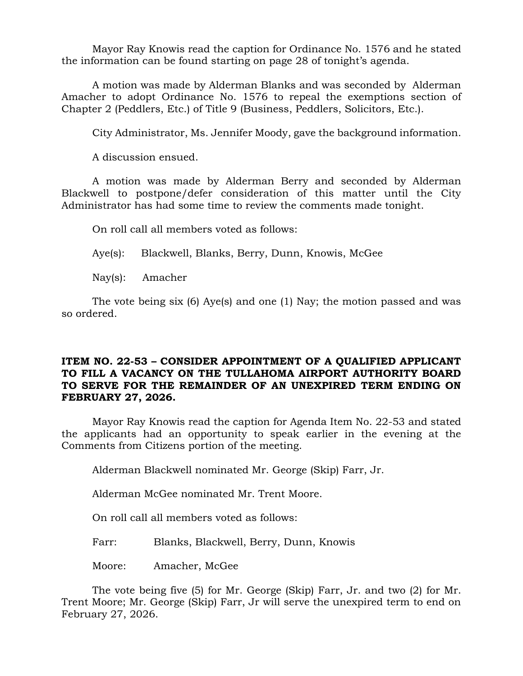Mayor Ray Knowis read the caption for Ordinance No. 1576 and he stated the information can be found starting on page 28 of tonight's agenda.

A motion was made by Alderman Blanks and was seconded by Alderman Amacher to adopt Ordinance No. 1576 to repeal the exemptions section of Chapter 2 (Peddlers, Etc.) of Title 9 (Business, Peddlers, Solicitors, Etc.).

City Administrator, Ms. Jennifer Moody, gave the background information.

A discussion ensued.

A motion was made by Alderman Berry and seconded by Alderman Blackwell to postpone/defer consideration of this matter until the City Administrator has had some time to review the comments made tonight.

On roll call all members voted as follows:

Aye(s): Blackwell, Blanks, Berry, Dunn, Knowis, McGee

Nay(s): Amacher

The vote being six (6) Aye(s) and one (1) Nay; the motion passed and was so ordered.

# **ITEM NO. 22-53 – CONSIDER APPOINTMENT OF A QUALIFIED APPLICANT TO FILL A VACANCY ON THE TULLAHOMA AIRPORT AUTHORITY BOARD TO SERVE FOR THE REMAINDER OF AN UNEXPIRED TERM ENDING ON FEBRUARY 27, 2026.**

Mayor Ray Knowis read the caption for Agenda Item No. 22-53 and stated the applicants had an opportunity to speak earlier in the evening at the Comments from Citizens portion of the meeting.

Alderman Blackwell nominated Mr. George (Skip) Farr, Jr.

Alderman McGee nominated Mr. Trent Moore.

On roll call all members voted as follows:

Farr: Blanks, Blackwell, Berry, Dunn, Knowis

Moore: Amacher, McGee

The vote being five (5) for Mr. George (Skip) Farr, Jr. and two (2) for Mr. Trent Moore; Mr. George (Skip) Farr, Jr will serve the unexpired term to end on February 27, 2026.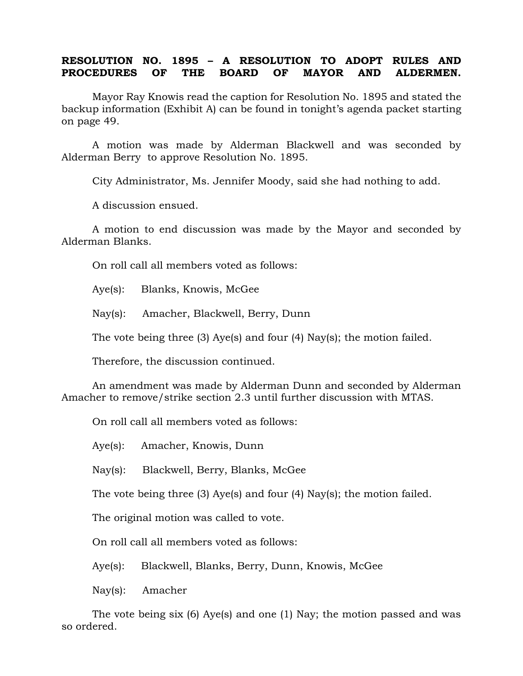## **RESOLUTION NO. 1895 – A RESOLUTION TO ADOPT RULES AND PROCEDURES OF THE BOARD OF MAYOR AND ALDERMEN.**

Mayor Ray Knowis read the caption for Resolution No. 1895 and stated the backup information (Exhibit A) can be found in tonight's agenda packet starting on page 49.

A motion was made by Alderman Blackwell and was seconded by Alderman Berry to approve Resolution No. 1895.

City Administrator, Ms. Jennifer Moody, said she had nothing to add.

A discussion ensued.

A motion to end discussion was made by the Mayor and seconded by Alderman Blanks.

On roll call all members voted as follows:

Aye(s): Blanks, Knowis, McGee

Nay(s): Amacher, Blackwell, Berry, Dunn

The vote being three (3) Aye(s) and four (4) Nay(s); the motion failed.

Therefore, the discussion continued.

An amendment was made by Alderman Dunn and seconded by Alderman Amacher to remove/strike section 2.3 until further discussion with MTAS.

On roll call all members voted as follows:

Aye(s): Amacher, Knowis, Dunn

Nay(s): Blackwell, Berry, Blanks, McGee

The vote being three (3) Aye(s) and four (4) Nay(s); the motion failed.

The original motion was called to vote.

On roll call all members voted as follows:

Aye(s): Blackwell, Blanks, Berry, Dunn, Knowis, McGee

Nay(s): Amacher

The vote being six (6) Aye(s) and one (1) Nay; the motion passed and was so ordered.